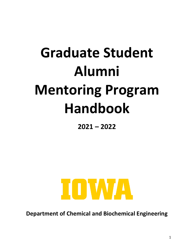# **Graduate Student Alumni Mentoring Program Handbook**

**2021 – 2022**



**Department of Chemical and Biochemical Engineering**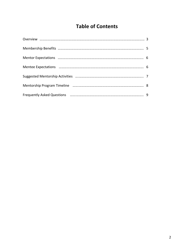## **Table of Contents**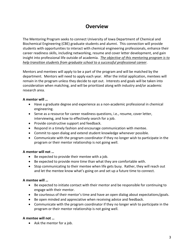## **Overview**

The Mentoring Program seeks to connect University of Iowa Department of Chemical and Biochemical Engineering (CBE) graduate students and alumni. This connection will provide students with opportunities to interact with chemical engineering professionals, enhance their career readiness skills, including networking, resume and cover letter development, and gain insight into professional life outside of academia. *The objective of this mentoring program is to help transition students from graduate school to a successful professional career*.

Mentors and mentees will apply to be a part of the program and will be matched by the department. Mentors will need to apply each year. After the initial application, mentees will remain in the program unless they decide to opt out. Interests and goals will be taken into consideration when matching, and will be prioritized along with industry and/or academic research area.

#### **A mentor will …**

- Have a graduate degree and experience as a non-academic professional in chemical engineering.
- Serve as a resource for career readiness questions, i.e., resume, cover letter, interviewing, and how to effectively search for a job.
- Provide constructive support and feedback.
- Respond in a timely fashion and encourage communication with mentee.
- Commit to open dialog and extend student knowledge whenever possible.
- Communicate with the program coordinator if they no longer wish to participate in the program or their mentor relationship is not going well.

#### **A mentor will not …**

- Be expected to provide their mentee with a job.
- Be expected to provide more time than what they are comfortable with.
- Stop communicating to their mentee when life gets busy. Rather, they will reach out and let the mentee know what's going on and set up a future time to connect.

#### **A mentee will …**

- Be expected to initiate contact with their mentor and be responsible for continuing to engage with their mentor.
- Be courteous of their mentor's time and have an open dialog about expectations/goals.
- Be open minded and appreciative when receiving advice and feedback.
- Communicate with the program coordinator if they no longer wish to participate in the program or their mentor relationship is not going well.

#### **A mentee will not …**

• Ask the mentor for a job.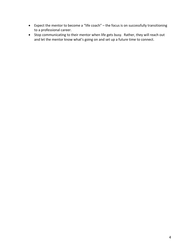- Expect the mentor to become a "life coach" the focus is on successfully transitioning to a professional career.
- Stop communicating to their mentor when life gets busy. Rather, they will reach out and let the mentor know what's going on and set up a future time to connect.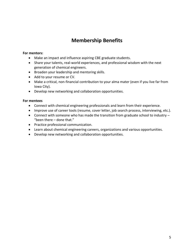## **Membership Benefits**

#### **For mentors:**

- Make an impact and influence aspiring CBE graduate students.
- Share your talents, real-world experiences, and professional wisdom with the next generation of chemical engineers.
- Broaden your leadership and mentoring skills.
- Add to your resume or CV.
- Make a critical, non-financial contribution to your alma mater (even if you live far from Iowa City).
- Develop new networking and collaboration opportunities.

#### **For mentees**

- Connect with chemical engineering professionals and learn from their experience.
- Improve use of career tools (resume, cover letter, job search process, interviewing, etc.).
- Connect with someone who has made the transition from graduate school to industry "been there – done that."
- Practice professional communication.
- Learn about chemical engineering careers, organizations and various opportunities.
- Develop new networking and collaboration opportunities.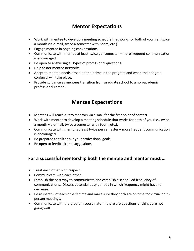## **Mentor Expectations**

- Work with mentee to develop a meeting schedule that works for both of you (i.e., twice a month via e-mail, twice a semester with Zoom, etc.).
- Engage mentee in ongoing conversations.
- Communicate with mentee at least twice per semester more frequent communication is encouraged.
- Be open to answering all types of professional questions.
- Help foster mentee networks.
- Adapt to mentee needs based on their time in the program and when their degree conferral will take place.
- Provide guidance as mentees transition from graduate school to a non-academic professional career.

### **Mentee Expectations**

- Mentees will reach out to mentors via e-mail for the first point of contact.
- Work with mentor to develop a meeting schedule that works for both of you (i.e., twice a month via e-mail, twice a semester with Zoom, etc.).
- Communicate with mentor at least twice per semester more frequent communication is encouraged.
- Be prepared to talk about your professional goals.
- Be open to feedback and suggestions.

#### **For a successful mentorship both the mentee and mentor must …**

- Treat each other with respect.
- Communicate with each other.
- Establish the best way to communicate and establish a scheduled frequency of communications. Discuss potential busy periods in which frequency might have to decrease.
- Be respectful of each other's time and make sure they both are on time for virtual or inperson meetings.
- Communicate with the program coordinator if there are questions or things are not going well.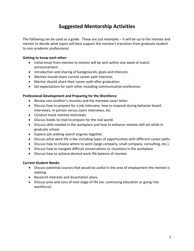## **Suggested Mentorship Activities**

The following can be used as a guide. These are just examples – it will be up to the mentee and mentor to decide what topics will best support the mentee's transition from graduate student to non-academic professional.

#### **Getting to know each other:**

- Initial email from mentee to mentor will be sent within one week of match announcement.
- Introduction and sharing of backgrounds, goals and interests.
- Mentee should share current career path interests.
- Mentor should share their career path after graduation.
- Set expectations for each other including communication preference.

#### **Professional Development and Preparing for the Workforce**

- Review one another's resumes and the mentees cover letter.
- Discuss how to prepare for a job interview, how to respond during behavior based interviews, in-person versus zoom interviews, etc.
- Conduct mock mentee interviews
- Discuss books to read to prepare for the real world.
- Discuss skills needed in the workplace and how to enhance mentee skill set while in graduate school.
- Explore job seeking search engines together.
- Discuss what work life is like including types of opportunities with different career paths
- Discuss how to choose where to work (large company, small company, consulting, etc.).
- Discuss how to navigate difficult conversations or situations in the workplace.
- Discuss how to achieve desired work-life balance of mentee.

#### **Current Student Needs:**

- Discuss potential courses that would be useful in the area of employment the mentee is seeking.
- Research interests and dissertation plans.
- Discuss pros and cons of next stage of life (ex. continuing education or going into workforce).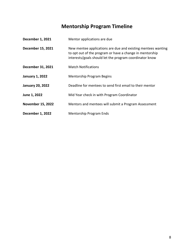## **Mentorship Program Timeline**

| <b>December 1, 2021</b>  | Mentor applications are due                                                                                                                                                         |
|--------------------------|-------------------------------------------------------------------------------------------------------------------------------------------------------------------------------------|
| <b>December 15, 2021</b> | New mentee applications are due and existing mentees wanting<br>to opt out of the program or have a change in mentorship<br>interests/goals should let the program coordinator know |
| December 31, 2021        | <b>Match Notifications</b>                                                                                                                                                          |
| <b>January 1, 2022</b>   | <b>Mentorship Program Begins</b>                                                                                                                                                    |
| <b>January 20, 2022</b>  | Deadline for mentees to send first email to their mentor                                                                                                                            |
| June 1, 2022             | Mid Year check in with Program Coordinator                                                                                                                                          |
| <b>November 15, 2022</b> | Mentors and mentees will submit a Program Assessment                                                                                                                                |
| <b>December 1, 2022</b>  | <b>Mentorship Program Ends</b>                                                                                                                                                      |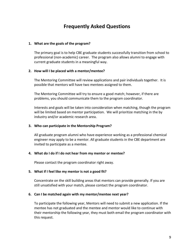## **Frequently Asked Questions**

#### **1. What are the goals of the program?**

The primary goal is to help CBE graduate students successfully transition from school to professional (non-academic) career. The program also allows alumni to engage with current graduate students in a meaningful way.

#### **2. How will I be placed with a mentor/mentee?**

The Mentoring Committee will review applications and pair individuals together. It is possible that mentors will have two mentees assigned to them.

The Mentoring Committee will try to ensure a good match; however, if there are problems, you should communicate them to the program coordinator.

Interests and goals will be taken into consideration when matching, though the program will be limited based on mentor participation. We will prioritize matching in the by industry and/or academic research area.

#### **3. Who can participate in the Mentorship Program?**

All graduate program alumni who have experience working as a professional chemical engineer may apply to be a mentor. All graduate students in the CBE department are invited to participate as a mentee.

#### **4. What do I do if I do not hear from my mentor or mentee?**

Please contact the program coordinator right away.

#### **5. What if I feel like my mentor is not a good fit?**

Concentrate on the skill building areas that mentors can provide generally. If you are still unsatisfied with your match, please contact the program coordinator.

#### **6. Can I be matched again with my mentor/mentee next year?**

To participate the following year, Mentors will need to submit a new application. If the mentee has not graduated and the mentee and mentor would like to continue with their mentorship the following year, they must both email the program coordinator with this request.